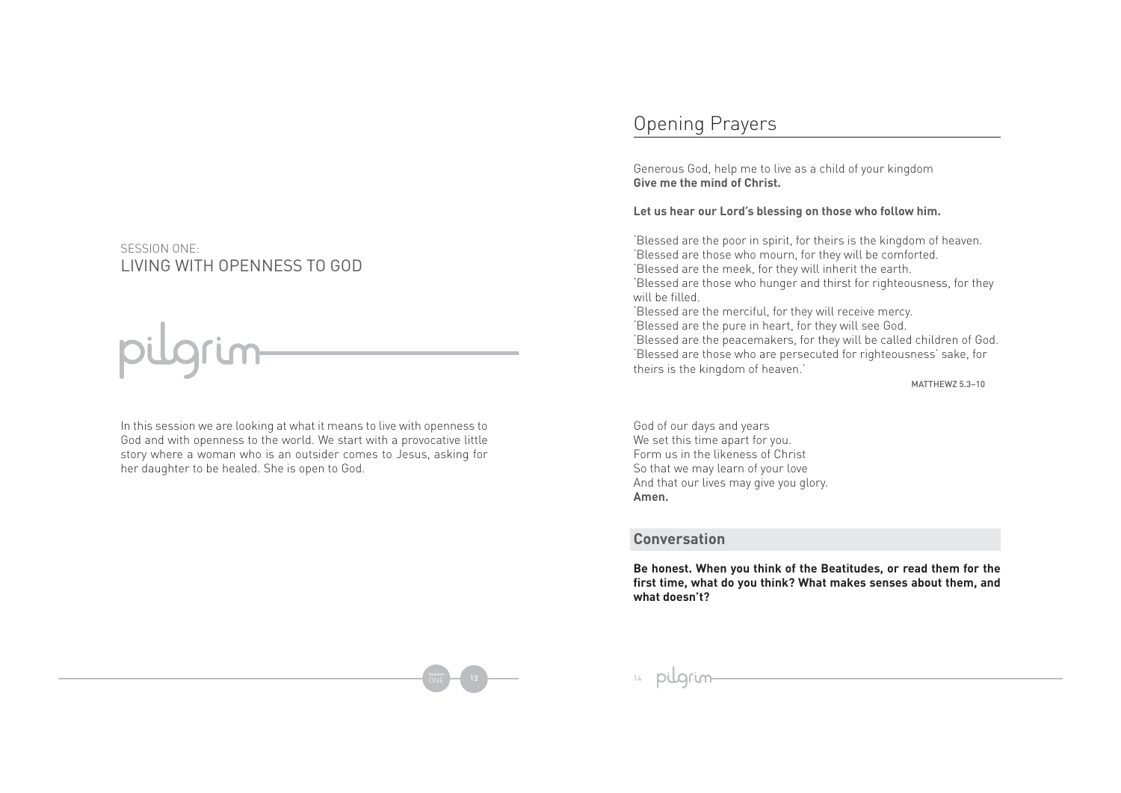## SESSION ONE: LIVING WITH OPENNESS TO GOD

In this session we are looking at what it means to live with openness to God and with openness to the world. We start with a provocative little story where a woman who is an outsider comes to Jesus, asking for her daughter to be healed. She is open to God.

## Opening Prayers

Generous God, help me to live as a child of your kingdom **Give me the mind of Christ.**

#### **Let us hear our Lord's blessing on those who follow him.**

'Blessed are the poor in spirit, for theirs is the kingdom of heaven. 'Blessed are those who mourn, for they will be comforted. 'Blessed are the meek, for they will inherit the earth. 'Blessed are those who hunger and thirst for righteousness, for they will be filled.

'Blessed are the merciful, for they will receive mercy. 'Blessed are the pure in heart, for they will see God. 'Blessed are the peacemakers, for they will be called children of God. 'Blessed are those who are persecuted for righteousness' sake, for theirs is the kingdom of heaven.'

MATTHEWZ 5.3–10

God of our days and years We set this time apart for you. Form us in the likeness of ChristSo that we may learn of your love And that our lives may give you glory. **Amen.**

### **Conversation**

pilarin

 $1/4$ 

**Be honest. When you think of the Beatitudes, or read them for the**  first time, what do you think? What makes senses about them, and what doesn't?

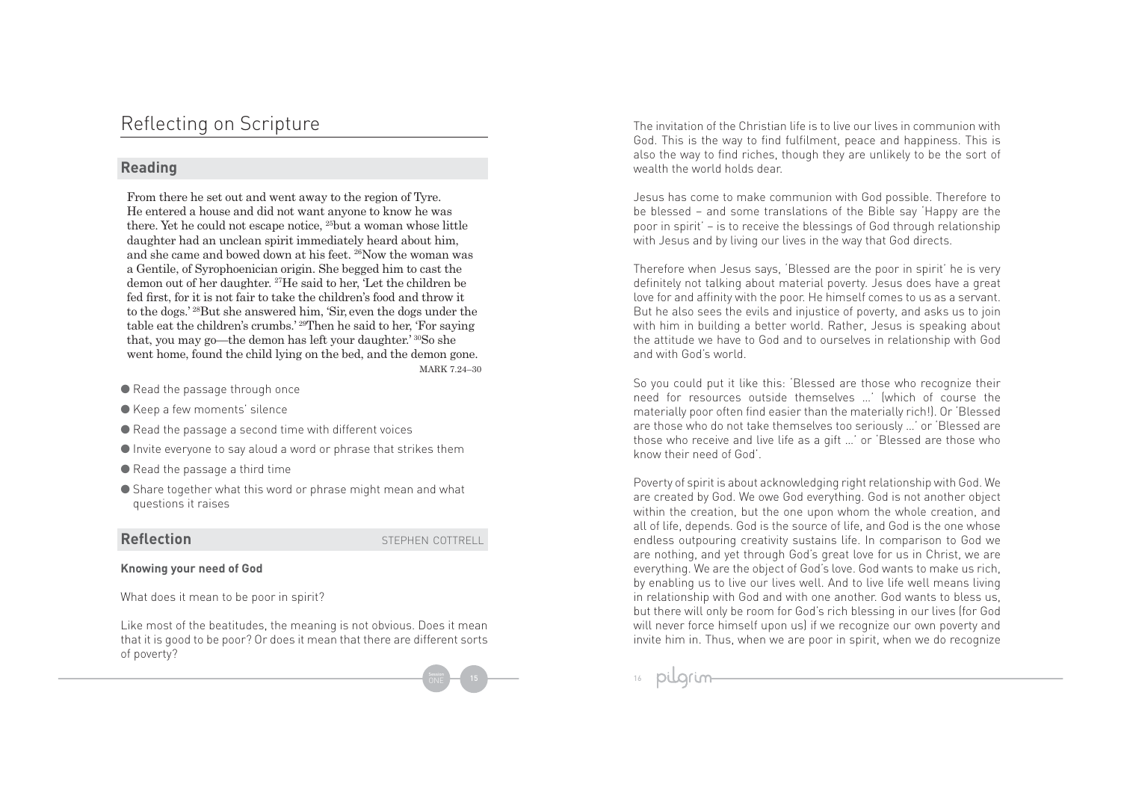# Reflecting on Scripture

### **Reading**

From there he set out and went away to the region of Tyre. He entered a house and did not want anyone to know he was there. Yet he could not escape notice, <sup>25</sup>but a woman whose little daughter had an unclean spirit immediately heard about him, and she came and bowed down at his feet. 26Now the woman was a Gentile, of Syrophoenician origin. She begged him to cast the demon out of her daughter. 27He said to her, 'Let the children be fed first, for it is not fair to take the children's food and throw it to the dogs.' <sup>28</sup>But she answered him, 'Sir, even the dogs under the table eat the children's crumbs.' 29Then he said to her, 'For saying that, you may go—the demon has left your daughter.' <sup>30</sup>So she went home, found the child lying on the bed, and the demon gone. MARK 7.24–30

- Read the passage through once
- Keep a few moments' silence
- Read the passage a second time with different voices
- Invite everyone to say aloud a word or phrase that strikes them
- Read the passage a third time
- Share together what this word or phrase might mean and what questions it raises

### **Reflection**

STEPHEN COTTRELL AND A STEPHEN COTTRELL

#### **Knowing your need of God**

What does it mean to be poor in spirit?

Like most of the beatitudes, the meaning is not obvious. Does it mean that it is good to be poor? Or does it mean that there are different sorts of poverty?

Session  $\overline{})$  1

The invitation of the Christian life is to live our lives in communion with God. This is the way to find fulfilment, peace and happiness. This is also the way to find riches, though they are unlikely to be the sort of wealth the world holds dear.

Jesus has come to make communion with God possible. Therefore to be blessed – and some translations of the Bible say 'Happy are the poor in spirit' – is to receive the blessings of God through relationship with Jesus and by living our lives in the way that God directs.

Therefore when Jesus says, 'Blessed are the poor in spirit' he is very definitely not talking about material poverty. Jesus does have a great love for and affinity with the poor. He himself comes to us as a servant.  $\,$ But he also sees the evils and injustice of poverty, and asks us to join with him in building a better world. Rather, Jesus is speaking about the attitude we have to God and to ourselves in relationship with God and with God's world.

So you could put it like this: 'Blessed are those who recognize their need for resources outside themselves …' (which of course the materially poor often find easier than the materially rich!). Or 'Blessed are those who do not take themselves too seriously …' or 'Blessed are those who receive and live life as a gift …' or 'Blessed are those who know their need of God'.

Poverty of spirit is about acknowledging right relationship with God. We are created by God. We owe God everything. God is not another object within the creation, but the one upon whom the whole creation, and all of life, depends. God is the source of life, and God is the one whose endless outpouring creativity sustains life. In comparison to God we are nothing, and yet through God's great love for us in Christ, we are everything. We are the object of God's love. God wants to make us rich, by enabling us to live our lives well. And to live life well means living in relationship with God and with one another. God wants to bless us, but there will only be room for God's rich blessing in our lives (for God will never force himself upon us) if we recognize our own poverty and invite him in. Thus, when we are poor in spirit, when we do recognize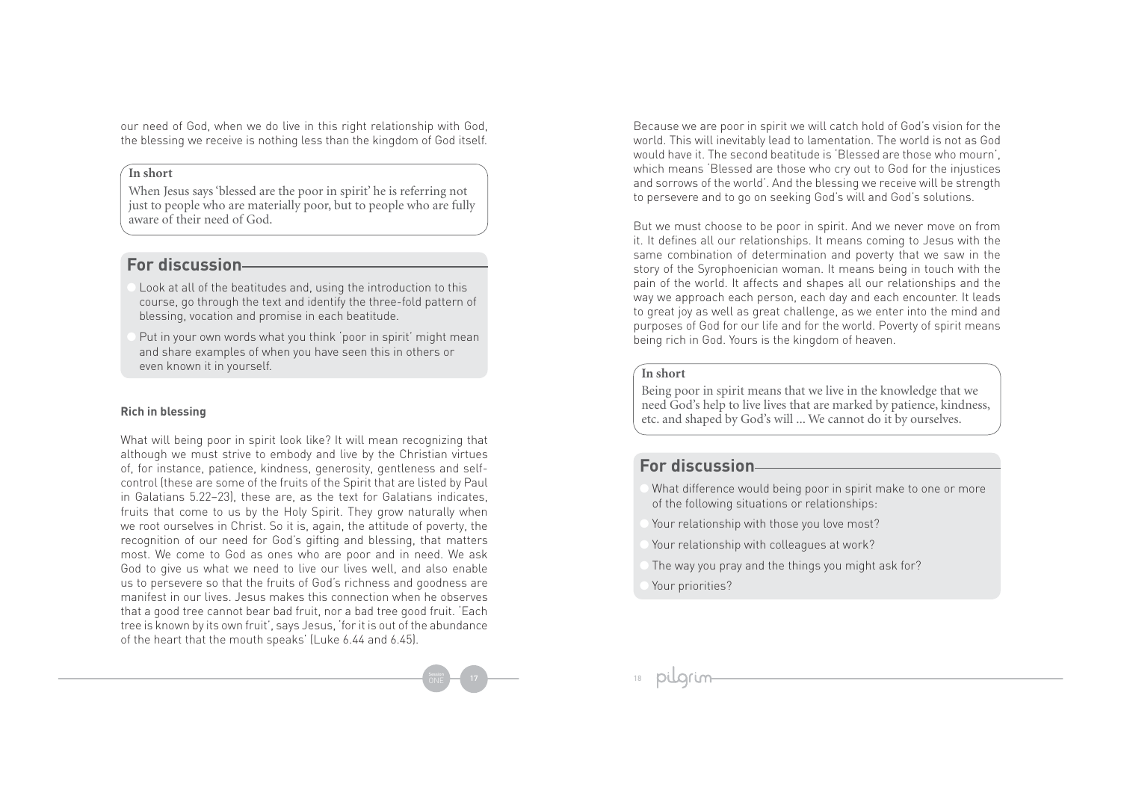our need of God, when we do live in this right relationship with God, the blessing we receive is nothing less than the kingdom of God itself.

#### **In short**

When Jesus says 'blessed are the poor in spirit' he is referring not just to people who are materially poor, but to people who are fully aware of their need of God.

## **For discussion**

- Look at all of the beatitudes and, using the introduction to this course, go through the text and identify the three-fold pattern of blessing, vocation and promise in each beatitude.
- Put in your own words what you think 'poor in spirit' might mean and share examples of when you have seen this in others or even known it in yourself.

#### **Rich in blessing**

What will being poor in spirit look like? It will mean recognizing that although we must strive to embody and live by the Christian virtues of, for instance, patience, kindness, generosity, gentleness and selfcontrol (these are some of the fruits of the Spirit that are listed by Paul in Galatians 5.22–23), these are, as the text for Galatians indicates, fruits that come to us by the Holy Spirit. They grow naturally when we root ourselves in Christ. So it is, again, the attitude of poverty, the recognition of our need for God's gifting and blessing, that matters most. We come to God as ones who are poor and in need. We ask God to give us what we need to live our lives well, and also enable us to persevere so that the fruits of God's richness and goodness are manifest in our lives. Jesus makes this connection when he observes that a good tree cannot bear bad fruit, nor a bad tree good fruit. 'Each tree is known by its own fruit', says Jesus, 'for it is out of the abundance of the heart that the mouth speaks' (Luke 6.44 and 6.45).



Because we are poor in spirit we will catch hold of God's vision for the world. This will inevitably lead to lamentation. The world is not as God would have it. The second beatitude is 'Blessed are those who mourn', which means 'Blessed are those who cry out to God for the injustices and sorrows of the world'. And the blessing we receive will be strength to persevere and to go on seeking God's will and God's solutions.

But we must choose to be poor in spirit. And we never move on from t. It defines all our relationships. It means coming to Jesus with the same combination of determination and poverty that we saw in the story of the Syrophoenician woman. It means being in touch with the pain of the world. It affects and shapes all our relationships and the way we approach each person, each day and each encounter. It leads to great joy as well as great challenge, as we enter into the mind and purposes of God for our life and for the world. Poverty of spirit means being rich in God. Yours is the kingdom of heaven.

#### **In short**

Being poor in spirit means that we live in the knowledge that we need God's help to live lives that are marked by patience, kindness, etc. and shaped by God's will ... We cannot do it by ourselves.

## **For discussion**

- What difference would being poor in spirit make to one or more of the following situations or relationships:
- Your relationship with those you love most?
- Your relationship with colleagues at work?
- The way you pray and the things you might ask for?
- Your priorities?